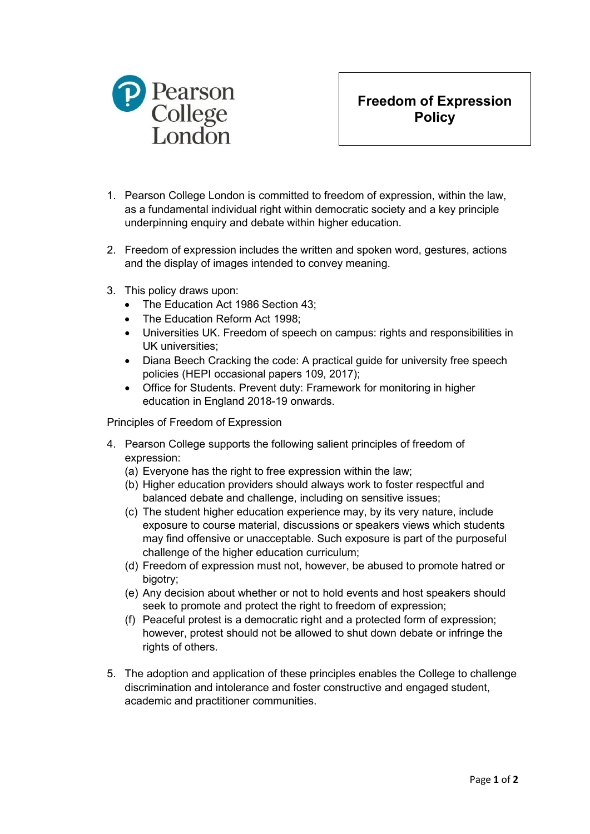

**Freedom of Expression Policy**

- 1. Pearson College London is committed to freedom of expression, within the law, as a fundamental individual right within democratic society and a key principle underpinning enquiry and debate within higher education.
- 2. Freedom of expression includes the written and spoken word, gestures, actions and the display of images intended to convey meaning.
- 3. This policy draws upon:
	- The Education Act 1986 Section 43;
	- The Education Reform Act 1998;
	- Universities UK. Freedom of speech on campus: rights and responsibilities in UK universities;
	- Diana Beech Cracking the code: A practical guide for university free speech policies (HEPI occasional papers 109, 2017);
	- Office for Students. Prevent duty: Framework for monitoring in higher education in England 2018-19 onwards.

Principles of Freedom of Expression

- 4. Pearson College supports the following salient principles of freedom of expression:
	- (a) Everyone has the right to free expression within the law;
	- (b) Higher education providers should always work to foster respectful and balanced debate and challenge, including on sensitive issues;
	- (c) The student higher education experience may, by its very nature, include exposure to course material, discussions or speakers views which students may find offensive or unacceptable. Such exposure is part of the purposeful challenge of the higher education curriculum;
	- (d) Freedom of expression must not, however, be abused to promote hatred or bigotry;
	- (e) Any decision about whether or not to hold events and host speakers should seek to promote and protect the right to freedom of expression;
	- (f) Peaceful protest is a democratic right and a protected form of expression; however, protest should not be allowed to shut down debate or infringe the rights of others.
- 5. The adoption and application of these principles enables the College to challenge discrimination and intolerance and foster constructive and engaged student, academic and practitioner communities.